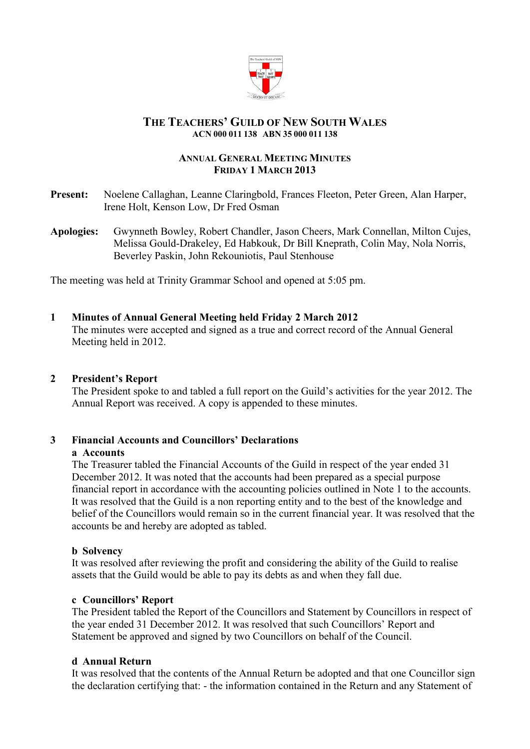

## **THE TEACHERS' GUILD OF NEW SOUTH WALES ACN 000 011 138 ABN 35 000 011 138**

## **ANNUAL GENERAL MEETING MINUTES FRIDAY 1 MARCH 2013**

- **Present:** Noelene Callaghan, Leanne Claringbold, Frances Fleeton, Peter Green, Alan Harper, Irene Holt, Kenson Low, Dr Fred Osman
- **Apologies:** Gwynneth Bowley, Robert Chandler, Jason Cheers, Mark Connellan, Milton Cujes, Melissa Gould-Drakeley, Ed Habkouk, Dr Bill Kneprath, Colin May, Nola Norris, Beverley Paskin, John Rekouniotis, Paul Stenhouse

The meeting was held at Trinity Grammar School and opened at 5:05 pm.

## **1 Minutes of Annual General Meeting held Friday 2 March 2012**

The minutes were accepted and signed as a true and correct record of the Annual General Meeting held in 2012.

#### **2 President's Report**

The President spoke to and tabled a full report on the Guild's activities for the year 2012. The Annual Report was received. A copy is appended to these minutes.

# **3 Financial Accounts and Councillors' Declarations**

#### **a Accounts**

The Treasurer tabled the Financial Accounts of the Guild in respect of the year ended 31 December 2012. It was noted that the accounts had been prepared as a special purpose financial report in accordance with the accounting policies outlined in Note 1 to the accounts. It was resolved that the Guild is a non reporting entity and to the best of the knowledge and belief of the Councillors would remain so in the current financial year. It was resolved that the accounts be and hereby are adopted as tabled.

#### **b Solvency**

It was resolved after reviewing the profit and considering the ability of the Guild to realise assets that the Guild would be able to pay its debts as and when they fall due.

#### **c Councillors' Report**

The President tabled the Report of the Councillors and Statement by Councillors in respect of the year ended 31 December 2012. It was resolved that such Councillors' Report and Statement be approved and signed by two Councillors on behalf of the Council.

#### **d Annual Return**

It was resolved that the contents of the Annual Return be adopted and that one Councillor sign the declaration certifying that: - the information contained in the Return and any Statement of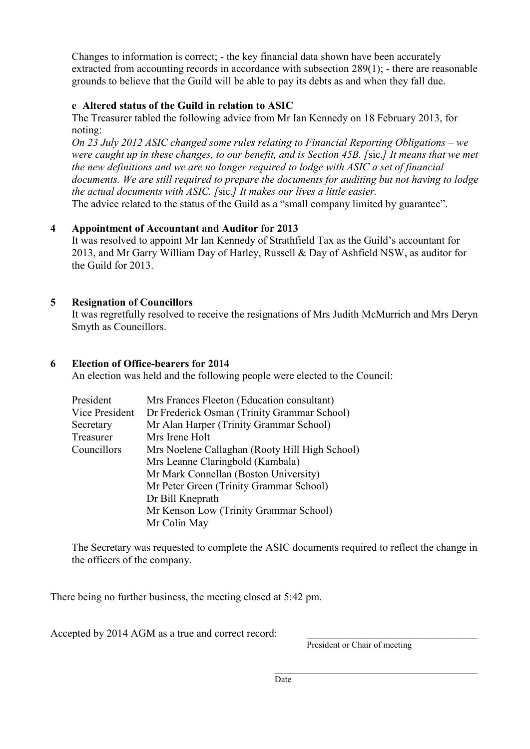Changes to information is correct; - the key financial data shown have been accurately extracted from accounting records in accordance with subsection 289(1); - there are reasonable grounds to believe that the Guild will be able to pay its debts as and when they fall due.

# **e Altered status of the Guild in relation to ASIC**

The Treasurer tabled the following advice from Mr Ian Kennedy on 18 February 2013, for noting:

*On 23 July 2012 ASIC changed some rules relating to Financial Reporting Obligations – we were caught up in these changes, to our benefit, and is Section 45B. [*sic.*] It means that we met the new definitions and we are no longer required to lodge with ASIC a set of financial documents. We are still required to prepare the documents for auditing but not having to lodge the actual documents with ASIC. [*sic.*] It makes our lives a little easier.* The advice related to the status of the Guild as a "small company limited by guarantee".

# **4 Appointment of Accountant and Auditor for 2013**

It was resolved to appoint Mr Ian Kennedy of Strathfield Tax as the Guild's accountant for 2013, and Mr Garry William Day of Harley, Russell & Day of Ashfield NSW, as auditor for the Guild for 2013.

# **5 Resignation of Councillors**

It was regretfully resolved to receive the resignations of Mrs Judith McMurrich and Mrs Deryn Smyth as Councillors.

# **6 Election of Office-bearers for 2014**

An election was held and the following people were elected to the Council:

| President      | Mrs Frances Fleeton (Education consultant)     |  |
|----------------|------------------------------------------------|--|
| Vice President | Dr Frederick Osman (Trinity Grammar School)    |  |
| Secretary      | Mr Alan Harper (Trinity Grammar School)        |  |
| Treasurer      | Mrs Irene Holt                                 |  |
| Councillors    | Mrs Noelene Callaghan (Rooty Hill High School) |  |
|                | Mrs Leanne Claringbold (Kambala)               |  |
|                | Mr Mark Connellan (Boston University)          |  |
|                | Mr Peter Green (Trinity Grammar School)        |  |
|                | Dr Bill Kneprath                               |  |
|                | Mr Kenson Low (Trinity Grammar School)         |  |
|                | Mr Colin May                                   |  |

The Secretary was requested to complete the ASIC documents required to reflect the change in the officers of the company.

There being no further business, the meeting closed at 5:42 pm.

Accepted by 2014 AGM as a true and correct record:

President or Chair of meeting

\_\_\_\_\_\_\_\_\_\_\_\_\_\_\_\_\_\_\_\_\_\_\_\_\_\_\_\_\_\_\_\_\_\_\_\_\_\_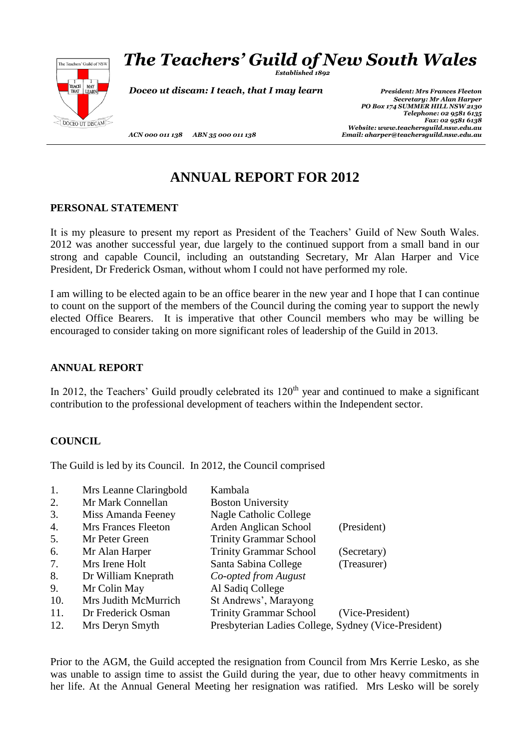

# *The Teachers' Guild of New South Wales*

*Established 1892*

**Doceo ut discam: I teach, that I may learn** *President: Mrs Frances Fleeton* 

*Secretary: Mr Alan Harper PO Box 174 SUMMER HILL NSW 2130 Telephone: 02 9581 6135 Fax: 02 9581 6138 Website: www.teachersguild.nsw.edu.au ACN 000 011 138 ABN 35 000 011 138 Email: aharper@teachersguild.nsw.edu.au*

**ANNUAL REPORT FOR 2012**

## **PERSONAL STATEMENT**

It is my pleasure to present my report as President of the Teachers' Guild of New South Wales. 2012 was another successful year, due largely to the continued support from a small band in our strong and capable Council, including an outstanding Secretary, Mr Alan Harper and Vice President, Dr Frederick Osman, without whom I could not have performed my role.

I am willing to be elected again to be an office bearer in the new year and I hope that I can continue to count on the support of the members of the Council during the coming year to support the newly elected Office Bearers. It is imperative that other Council members who may be willing be encouraged to consider taking on more significant roles of leadership of the Guild in 2013.

## **ANNUAL REPORT**

In 2012, the Teachers' Guild proudly celebrated its  $120<sup>th</sup>$  year and continued to make a significant contribution to the professional development of teachers within the Independent sector.

## **COUNCIL**

The Guild is led by its Council. In 2012, the Council comprised

| 1.  | Mrs Leanne Claringbold | Kambala                                              |                  |
|-----|------------------------|------------------------------------------------------|------------------|
| 2.  | Mr Mark Connellan      | <b>Boston University</b>                             |                  |
| 3.  | Miss Amanda Feeney     | <b>Nagle Catholic College</b>                        |                  |
| 4.  | Mrs Frances Fleeton    | Arden Anglican School                                | (President)      |
| 5.  | Mr Peter Green         | <b>Trinity Grammar School</b>                        |                  |
| 6.  | Mr Alan Harper         | <b>Trinity Grammar School</b>                        | (Secretary)      |
| 7.  | Mrs Irene Holt         | Santa Sabina College                                 | (Treasurer)      |
| 8.  | Dr William Kneprath    | Co-opted from August                                 |                  |
| 9.  | Mr Colin May           | Al Sadiq College                                     |                  |
| 10. | Mrs Judith McMurrich   | St Andrews', Marayong                                |                  |
| 11. | Dr Frederick Osman     | <b>Trinity Grammar School</b>                        | (Vice-President) |
| 12. | Mrs Deryn Smyth        | Presbyterian Ladies College, Sydney (Vice-President) |                  |

Prior to the AGM, the Guild accepted the resignation from Council from Mrs Kerrie Lesko, as she was unable to assign time to assist the Guild during the year, due to other heavy commitments in her life. At the Annual General Meeting her resignation was ratified. Mrs Lesko will be sorely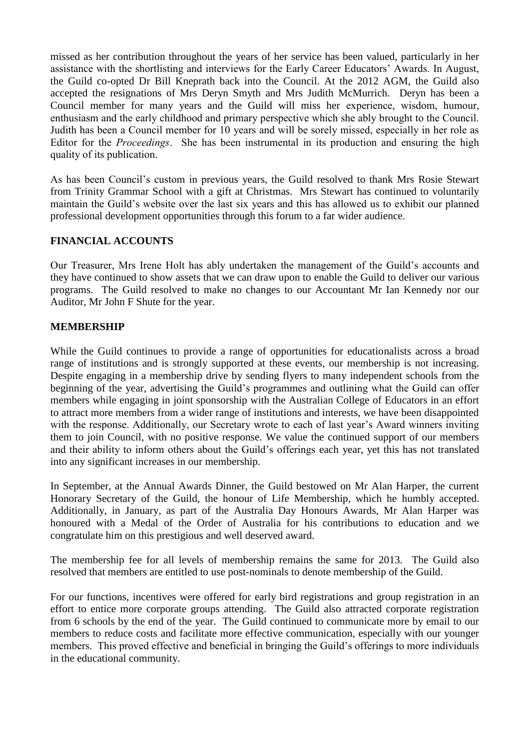missed as her contribution throughout the years of her service has been valued, particularly in her assistance with the shortlisting and interviews for the Early Career Educators' Awards. In August, the Guild co-opted Dr Bill Kneprath back into the Council. At the 2012 AGM, the Guild also accepted the resignations of Mrs Deryn Smyth and Mrs Judith McMurrich. Deryn has been a Council member for many years and the Guild will miss her experience, wisdom, humour, enthusiasm and the early childhood and primary perspective which she ably brought to the Council. Judith has been a Council member for 10 years and will be sorely missed, especially in her role as Editor for the *Proceedings*. She has been instrumental in its production and ensuring the high quality of its publication.

As has been Council's custom in previous years, the Guild resolved to thank Mrs Rosie Stewart from Trinity Grammar School with a gift at Christmas. Mrs Stewart has continued to voluntarily maintain the Guild's website over the last six years and this has allowed us to exhibit our planned professional development opportunities through this forum to a far wider audience.

## **FINANCIAL ACCOUNTS**

Our Treasurer, Mrs Irene Holt has ably undertaken the management of the Guild's accounts and they have continued to show assets that we can draw upon to enable the Guild to deliver our various programs. The Guild resolved to make no changes to our Accountant Mr Ian Kennedy nor our Auditor, Mr John F Shute for the year.

## **MEMBERSHIP**

While the Guild continues to provide a range of opportunities for educationalists across a broad range of institutions and is strongly supported at these events, our membership is not increasing. Despite engaging in a membership drive by sending flyers to many independent schools from the beginning of the year, advertising the Guild's programmes and outlining what the Guild can offer members while engaging in joint sponsorship with the Australian College of Educators in an effort to attract more members from a wider range of institutions and interests, we have been disappointed with the response. Additionally, our Secretary wrote to each of last year's Award winners inviting them to join Council, with no positive response. We value the continued support of our members and their ability to inform others about the Guild's offerings each year, yet this has not translated into any significant increases in our membership.

In September, at the Annual Awards Dinner, the Guild bestowed on Mr Alan Harper, the current Honorary Secretary of the Guild, the honour of Life Membership, which he humbly accepted. Additionally, in January, as part of the Australia Day Honours Awards, Mr Alan Harper was honoured with a Medal of the Order of Australia for his contributions to education and we congratulate him on this prestigious and well deserved award.

The membership fee for all levels of membership remains the same for 2013. The Guild also resolved that members are entitled to use post-nominals to denote membership of the Guild.

For our functions, incentives were offered for early bird registrations and group registration in an effort to entice more corporate groups attending. The Guild also attracted corporate registration from 6 schools by the end of the year. The Guild continued to communicate more by email to our members to reduce costs and facilitate more effective communication, especially with our younger members. This proved effective and beneficial in bringing the Guild's offerings to more individuals in the educational community.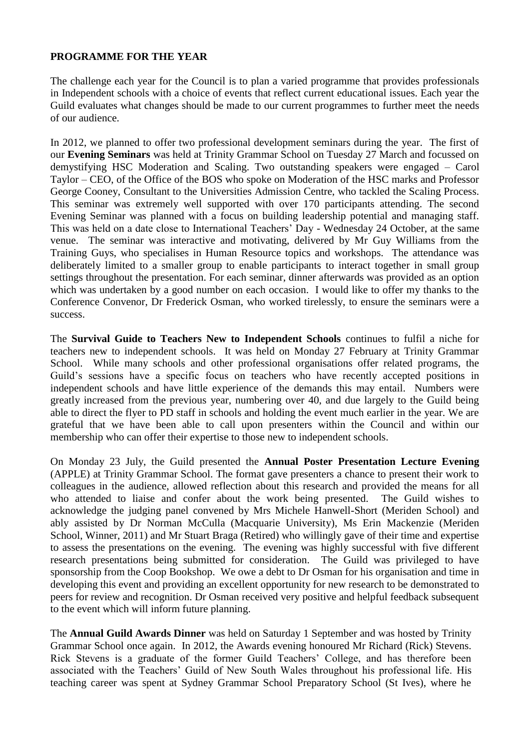## **PROGRAMME FOR THE YEAR**

The challenge each year for the Council is to plan a varied programme that provides professionals in Independent schools with a choice of events that reflect current educational issues. Each year the Guild evaluates what changes should be made to our current programmes to further meet the needs of our audience.

In 2012, we planned to offer two professional development seminars during the year. The first of our **Evening Seminars** was held at Trinity Grammar School on Tuesday 27 March and focussed on demystifying HSC Moderation and Scaling. Two outstanding speakers were engaged – Carol Taylor – CEO, of the Office of the BOS who spoke on Moderation of the HSC marks and Professor George Cooney, Consultant to the Universities Admission Centre, who tackled the Scaling Process. This seminar was extremely well supported with over 170 participants attending. The second Evening Seminar was planned with a focus on building leadership potential and managing staff. This was held on a date close to International Teachers' Day - Wednesday 24 October, at the same venue. The seminar was interactive and motivating, delivered by Mr Guy Williams from the Training Guys, who specialises in Human Resource topics and workshops. The attendance was deliberately limited to a smaller group to enable participants to interact together in small group settings throughout the presentation. For each seminar, dinner afterwards was provided as an option which was undertaken by a good number on each occasion. I would like to offer my thanks to the Conference Convenor, Dr Frederick Osman, who worked tirelessly, to ensure the seminars were a success.

The **Survival Guide to Teachers New to Independent Schools** continues to fulfil a niche for teachers new to independent schools. It was held on Monday 27 February at Trinity Grammar School. While many schools and other professional organisations offer related programs, the Guild's sessions have a specific focus on teachers who have recently accepted positions in independent schools and have little experience of the demands this may entail. Numbers were greatly increased from the previous year, numbering over 40, and due largely to the Guild being able to direct the flyer to PD staff in schools and holding the event much earlier in the year. We are grateful that we have been able to call upon presenters within the Council and within our membership who can offer their expertise to those new to independent schools.

On Monday 23 July, the Guild presented the **Annual Poster Presentation Lecture Evening** (APPLE) at Trinity Grammar School. The format gave presenters a chance to present their work to colleagues in the audience, allowed reflection about this research and provided the means for all who attended to liaise and confer about the work being presented. The Guild wishes to acknowledge the judging panel convened by Mrs Michele Hanwell-Short (Meriden School) and ably assisted by Dr Norman McCulla (Macquarie University), Ms Erin Mackenzie (Meriden School, Winner, 2011) and Mr Stuart Braga (Retired) who willingly gave of their time and expertise to assess the presentations on the evening. The evening was highly successful with five different research presentations being submitted for consideration. The Guild was privileged to have sponsorship from the Coop Bookshop. We owe a debt to Dr Osman for his organisation and time in developing this event and providing an excellent opportunity for new research to be demonstrated to peers for review and recognition. Dr Osman received very positive and helpful feedback subsequent to the event which will inform future planning.

The **Annual Guild Awards Dinner** was held on Saturday 1 September and was hosted by Trinity Grammar School once again. In 2012, the Awards evening honoured Mr Richard (Rick) Stevens. Rick Stevens is a graduate of the former Guild Teachers' College, and has therefore been associated with the Teachers' Guild of New South Wales throughout his professional life. His teaching career was spent at Sydney Grammar School Preparatory School (St Ives), where he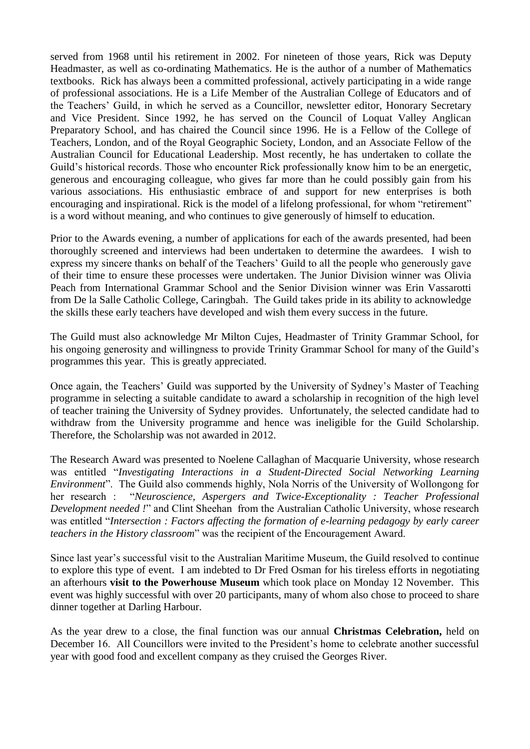served from 1968 until his retirement in 2002. For nineteen of those years, Rick was Deputy Headmaster, as well as co-ordinating Mathematics. He is the author of a number of Mathematics textbooks. Rick has always been a committed professional, actively participating in a wide range of professional associations. He is a Life Member of the Australian College of Educators and of the Teachers' Guild, in which he served as a Councillor, newsletter editor, Honorary Secretary and Vice President. Since 1992, he has served on the Council of Loquat Valley Anglican Preparatory School, and has chaired the Council since 1996. He is a Fellow of the College of Teachers, London, and of the Royal Geographic Society, London, and an Associate Fellow of the Australian Council for Educational Leadership. Most recently, he has undertaken to collate the Guild's historical records. Those who encounter Rick professionally know him to be an energetic, generous and encouraging colleague, who gives far more than he could possibly gain from his various associations. His enthusiastic embrace of and support for new enterprises is both encouraging and inspirational. Rick is the model of a lifelong professional, for whom "retirement" is a word without meaning, and who continues to give generously of himself to education.

Prior to the Awards evening, a number of applications for each of the awards presented, had been thoroughly screened and interviews had been undertaken to determine the awardees. I wish to express my sincere thanks on behalf of the Teachers' Guild to all the people who generously gave of their time to ensure these processes were undertaken. The Junior Division winner was Olivia Peach from International Grammar School and the Senior Division winner was Erin Vassarotti from De la Salle Catholic College, Caringbah. The Guild takes pride in its ability to acknowledge the skills these early teachers have developed and wish them every success in the future.

The Guild must also acknowledge Mr Milton Cujes, Headmaster of Trinity Grammar School, for his ongoing generosity and willingness to provide Trinity Grammar School for many of the Guild's programmes this year. This is greatly appreciated.

Once again, the Teachers' Guild was supported by the University of Sydney's Master of Teaching programme in selecting a suitable candidate to award a scholarship in recognition of the high level of teacher training the University of Sydney provides. Unfortunately, the selected candidate had to withdraw from the University programme and hence was ineligible for the Guild Scholarship. Therefore, the Scholarship was not awarded in 2012.

The Research Award was presented to Noelene Callaghan of Macquarie University, whose research was entitled "*Investigating Interactions in a Student-Directed Social Networking Learning Environment*". The Guild also commends highly, Nola Norris of the University of Wollongong for her research : "*Neuroscience, Aspergers and Twice-Exceptionality : Teacher Professional Development needed !*" and Clint Sheehan from the Australian Catholic University, whose research was entitled "*Intersection : Factors affecting the formation of e-learning pedagogy by early career teachers in the History classroom*" was the recipient of the Encouragement Award.

Since last year's successful visit to the Australian Maritime Museum, the Guild resolved to continue to explore this type of event. I am indebted to Dr Fred Osman for his tireless efforts in negotiating an afterhours **visit to the Powerhouse Museum** which took place on Monday 12 November. This event was highly successful with over 20 participants, many of whom also chose to proceed to share dinner together at Darling Harbour.

As the year drew to a close, the final function was our annual **Christmas Celebration,** held on December 16. All Councillors were invited to the President's home to celebrate another successful year with good food and excellent company as they cruised the Georges River.